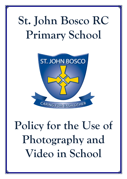# **St. John Bosco RC Primary School**



# **Policy for the Use of Photography and Video in School**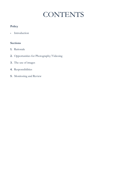## **CONTENTS**

### **Policy**

· Introduction

### **Sections**

- **1.** Rationale
- **2.** Opportunities for Photography/Videoing
- **3.** The use of images
- **4.** Responsibilities
- **5.** Monitoring and Review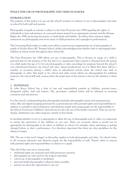#### **POLICY FOR USE OF PHOTOGRAPHY AND VIDEO IN SCHOOL**

#### **INTRODUCTION**

The purpose of this policy is to set out the school's position in relation to use of photography and video in school by both staff and parents.

Photography of pupils in schools is subject to the Data Protection Act 1998 regarding the rights of individuals to have information of a personal nature treated in an appropriate manner and the Human Rights Act 1998, protecting the privacy of individuals and families. As well as these statutory rights, restrictions on photography arise from issues of child protection and copyright in performances.

The Governing Body wishes to make every effort to prevent any inappropriate use of photography of pupils of St John Bosco RC Primary School, whilst acknowledging that families wish to photograph their children at school events throughout their school life.

The Data Protection Act 1998 affects our use of photography. This is because an image of a child is personal data for the purpose of the Act and it is a requirement that consent is obtained from the parent of a child under the age of 12 for any photographs or video recordings for purposes beyond the school's core educational function. (eg school web sites, school productions). As it is likely that there will be a number of occasions during a child's time in educational activity when the school may wish to photograph or video that pupil or for school and other events which are photographed for publicity purposes, the school will seek consent when the pupil starts at the school, to last for the duration of their stay.

#### **1. RATIONALE**

St. John Bosco School has a duty of care and responsibility towards its children, parents/carers, designated adults, staff and visitors. The procedures outlined below will be followed in ensuring consistent and safe practice.

It is the school's understanding that photography (includes photographic prints and transparencies, video, film and digital imaging) generated by a parent (anyone with parental rights and responsibilities in relation to a pupil) in school (whenever and wherever pupils and young people are the responsibility of the School Governors/Children's Services) are for the sole use of the family concerned. They are not for display, distribution any other purposes outside of that family.

In deciding whether or not it is appropriate to allow the use of photography and/or video it is important to ensure the protection of the children in our care. There are occasions where it would not be appropriate for photographs to be taken of children in school, for example, when swimming or getting changed before or after a performance. It is therefore important that there are clear guidelines for the taking of images.

NB - The use of the word 'images' in this policy applies to both photography and video. 'In school' refers to all occasions whenever and wherever pupils are the responsibility of staff. 'Parent' refers to anyone with parental rights and responsibilities in relation to a pupil.

Thus this Policy sets out to ensure that:

- individual rights are respected and child protection ensured;
- photographs are only used for the purpose intended;
- school use of photographs is facilitated;
- personal family photography is allowed where possible;
- parents are given the opportunity to opt out.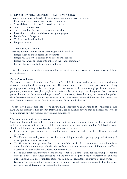#### **2. OPPORTUNITIES FOR PHOTOGRAPHY/VIDEOING**

There are many times in the school year when photography is used, including:

- Performances and events (e.g. Christmas, sports day)
- 'Special days' (e.g. Creative Arts Week, activities days)
- School trips and outings
- Special occasions (school celebrations and parties)
- Professional individual and class/school photographs
- For the School Prospectus
- To display within the school
- For press releases

#### **3. THE USE OF IMAGES**

There are different ways in which these images will be used, i.e.:

- Images taken and used personally by parents
- Images which may be displayed in and around the school
- Images which will be shared with others in the school community
- Images which are available to a wider audience

This policy intends to clarify arrangements for the use of images and consent required in each of these circumstances.

#### **Parents' use of images**

Parents are not covered by the Data Protection Act 1998 if they are taking photographs or making a video recording for their own private use. The act does not, therefore, stop parents from taking photographs or making video recordings at school events, such as nativity plays. Parents are not permitted, however, to take photographs or to make a video recording for anything other than their own personal use (e.g. with a view to selling videos of a school event). Recording and/or photographing other than for private use would require the consent of the other parents whose children may be captured on film. Without this consent the Data Protection Act 1998 would be breached.

The school will take appropriate steps to ensure that people with no connection to St John Bosco do not have any opportunity to film covertly. Staff will be asked to question anyone they do not recognise who is using a camera or video recorder at events and productions

#### **'Use your camera and video courteously'**

Generally photographs and videos for school and family use are a source of innocent pleasure and pride which can enhance self esteem for children and young people and their families. By following some simple guidelines we can proceed safely and with regard to the law:

- Remember that parents and carers attend school events at the invitation of the Headteacher and governors.
- The Headteacher and governors have the responsibility to decide if photography and videoing of school performances is permitted.
- The Headteacher and governors have the responsibility to decide the conditions that will apply in order that children are kept safe, that the performance is not disrupted and children and staff not distracted and that health and safety is not compromised.
- Parents and carers can use photographs and videos taken at a school event for their own personal use only. Such photos and videos cannot be sold and must not be put on the web/internet/social media due to existing Data Protection legislation, which in such circumstance is likely to be contravened.
- Recording or photographing other than for private use would require the consent of all the other parents whose children may be included in the images.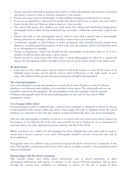- Parents and carers must follow guidance from staff as to when photography and videoing is permitted and where to stand in order to minimise disruption to the activity.
- Parents and carers must not photograph or video children changing for performances or events.
- If you are accompanied or represented by people that school staff do not recognise they may need to check out who they are if they are using a camera or video recorder.
- The school will ensure that children are made aware that taking and distributing inappropriate photographs (such as taken during residential trips and usage in bedrooms, swimming) is against the law.
- Parents who wish to take photographs may be asked to wait until a specific time as photography during performances, liturgies/collective worship or school trips is not permitted.
- Commercial copyright in school shows or drama productions will normally preclude parents from filming or recording pupil performances. If that is the case, the audience will be told that there must be no infringement of copyright.
- Parents accompanying a school trip should not take photographs except when asked to do so by a member of staff and then only using a school camera.
- Parents should be made aware that, when class or group photographs are taken by a commercial agency, the photographer retains copyright. Parents must be given contact details of the agency used.

#### **By third parties:**

 From time to time, third parties may be invited by the head teacher to cover school events or to highlight pupil successes and the photos used in school publications or the wider media. In such cases, only children whose parents have given permission should be photographed

#### **The school photographer**

Class and individual or group photographs are annual school events. Parents are asked in advance whether or not they wish their children to be included in these events. The school will only ever use reputable commercial photographers. The photographers retain the copyright of all photographs. Children's photographs taken by the school photographer are also used for the school's SIMs management system.

#### **Use of images within school**

Parental permission will be sought through a consent form completed on admission to school, for the use of photographic/video images within the school. Such images will only be displayed inside the school building. It is important to note that this category includes professionally taken class group photographs.

Staff may take photographs of children at school or on school visits and events using school cameras for the purpose of recording the life of the class; class journals; for use in display; for use in assessment for learning; and for any other appropriate purpose related to the life of the school.

Where permission for a child to be photographed has been withheld then every effort will be made to ensure that a breach of privacy is not made. Photographs should be securely stored and used only by those authorised.

Photographs taken for publicity and promotional purposes should be retained for a maximum of two years. Photographs contributing to the history of the school, its pupils, activities or the community can be retained indefinitely.

#### **Sharing images with the school community**

This includes images used within school publications such as school newsletters, to share information/celebrations with parents of children in the school. Parental permission will be given through the consent form completed on admission to school, for the use of images in these